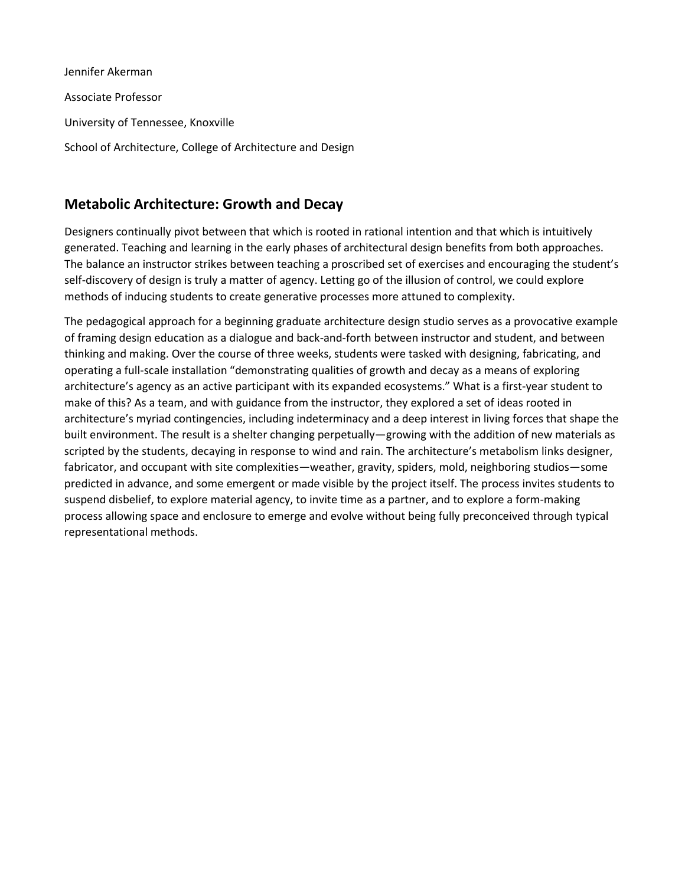Jennifer Akerman Associate Professor University of Tennessee, Knoxville School of Architecture, College of Architecture and Design

## **Metabolic Architecture: Growth and Decay**

Designers continually pivot between that which is rooted in rational intention and that which is intuitively generated. Teaching and learning in the early phases of architectural design benefits from both approaches. The balance an instructor strikes between teaching a proscribed set of exercises and encouraging the student's self-discovery of design is truly a matter of agency. Letting go of the illusion of control, we could explore methods of inducing students to create generative processes more attuned to complexity.

The pedagogical approach for a beginning graduate architecture design studio serves as a provocative example of framing design education as a dialogue and back-and-forth between instructor and student, and between thinking and making. Over the course of three weeks, students were tasked with designing, fabricating, and operating a full-scale installation "demonstrating qualities of growth and decay as a means of exploring architecture's agency as an active participant with its expanded ecosystems." What is a first-year student to make of this? As a team, and with guidance from the instructor, they explored a set of ideas rooted in architecture's myriad contingencies, including indeterminacy and a deep interest in living forces that shape the built environment. The result is a shelter changing perpetually—growing with the addition of new materials as scripted by the students, decaying in response to wind and rain. The architecture's metabolism links designer, fabricator, and occupant with site complexities—weather, gravity, spiders, mold, neighboring studios—some predicted in advance, and some emergent or made visible by the project itself. The process invites students to suspend disbelief, to explore material agency, to invite time as a partner, and to explore a form-making process allowing space and enclosure to emerge and evolve without being fully preconceived through typical representational methods.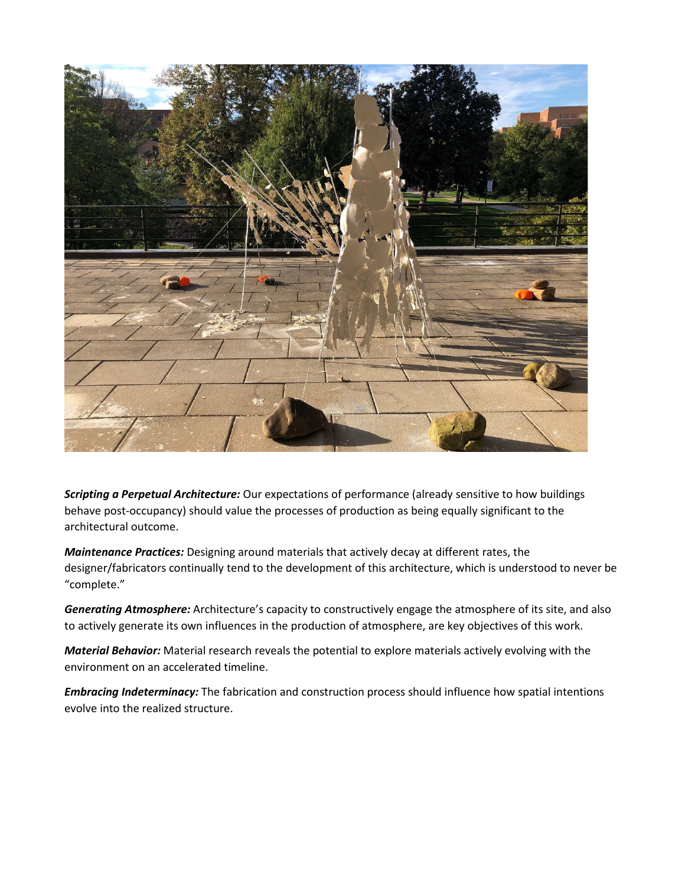

*Scripting a Perpetual Architecture:* Our expectations of performance (already sensitive to how buildings behave post-occupancy) should value the processes of production as being equally significant to the architectural outcome.

*Maintenance Practices:* Designing around materials that actively decay at different rates, the designer/fabricators continually tend to the development of this architecture, which is understood to never be "complete."

*Generating Atmosphere:* Architecture's capacity to constructively engage the atmosphere of its site, and also to actively generate its own influences in the production of atmosphere, are key objectives of this work.

*Material Behavior:* Material research reveals the potential to explore materials actively evolving with the environment on an accelerated timeline.

*Embracing Indeterminacy:* The fabrication and construction process should influence how spatial intentions evolve into the realized structure.